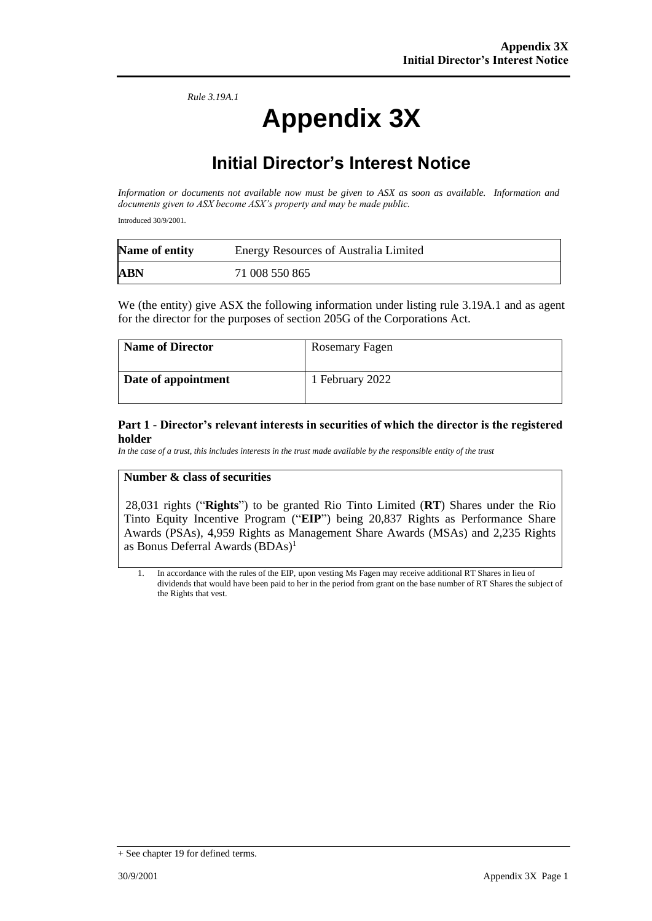*Rule 3.19A.1*

# **Appendix 3X**

## **Initial Director's Interest Notice**

*Information or documents not available now must be given to ASX as soon as available. Information and documents given to ASX become ASX's property and may be made public.*

Introduced 30/9/2001.

| Name of entity | <b>Energy Resources of Australia Limited</b> |  |
|----------------|----------------------------------------------|--|
| <b>ABN</b>     | 71 008 550 865                               |  |

We (the entity) give ASX the following information under listing rule 3.19A.1 and as agent for the director for the purposes of section 205G of the Corporations Act.

| <b>Name of Director</b> | Rosemary Fagen  |
|-------------------------|-----------------|
| Date of appointment     | 1 February 2022 |

#### **Part 1 - Director's relevant interests in securities of which the director is the registered holder**

*In the case of a trust, this includes interests in the trust made available by the responsible entity of the trust*

#### **Number & class of securities**

28,031 rights ("**Rights**") to be granted Rio Tinto Limited (**RT**) Shares under the Rio Tinto Equity Incentive Program ("**EIP**") being 20,837 Rights as Performance Share Awards (PSAs), 4,959 Rights as Management Share Awards (MSAs) and 2,235 Rights as Bonus Deferral Awards  $(BDAs)^1$ 

1. In accordance with the rules of the EIP, upon vesting Ms Fagen may receive additional RT Shares in lieu of dividends that would have been paid to her in the period from grant on the base number of RT Shares the subject of the Rights that vest.

<sup>+</sup> See chapter 19 for defined terms.